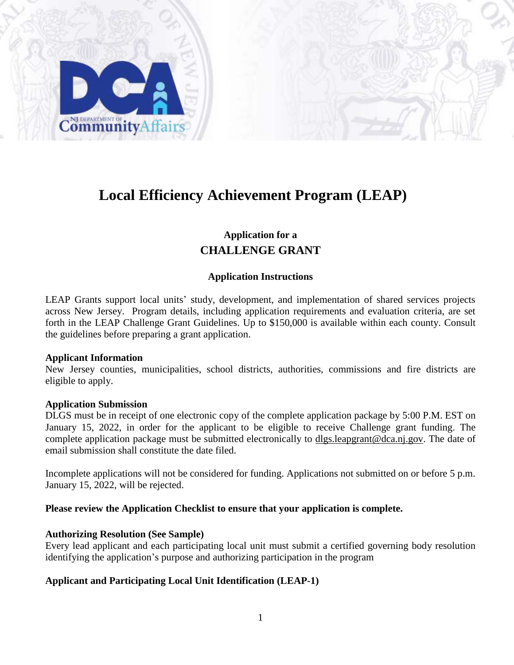

## **Local Efficiency Achievement Program (LEAP)**

## **Application for a CHALLENGE GRANT**

#### **Application Instructions**

LEAP Grants support local units' study, development, and implementation of shared services projects across New Jersey. Program details, including application requirements and evaluation criteria, are set forth in the LEAP Challenge Grant Guidelines. Up to \$150,000 is available within each county. Consult the guidelines before preparing a grant application.

#### **Applicant Information**

New Jersey counties, municipalities, school districts, authorities, commissions and fire districts are eligible to apply.

#### **Application Submission**

DLGS must be in receipt of one electronic copy of the complete application package by 5:00 P.M. EST on January 15, 2022, in order for the applicant to be eligible to receive Challenge grant funding. The complete application package must be submitted electronically to dlgs.leapgrant@dca.nj.gov. The date of email submission shall constitute the date filed.

Incomplete applications will not be considered for funding. Applications not submitted on or before 5 p.m. January 15, 2022, will be rejected.

#### **Please review the Application Checklist to ensure that your application is complete.**

#### **Authorizing Resolution (See Sample)**

Every lead applicant and each participating local unit must submit a certified governing body resolution identifying the application's purpose and authorizing participation in the program

#### **Applicant and Participating Local Unit Identification (LEAP-1)**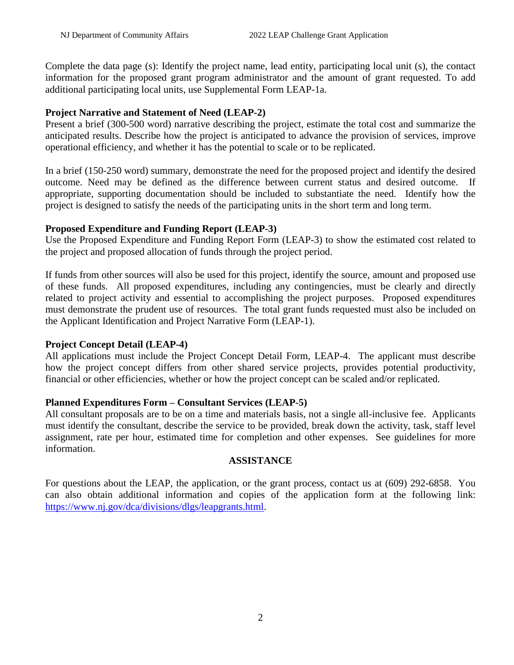Complete the data page (s): Identify the project name, lead entity, participating local unit (s), the contact information for the proposed grant program administrator and the amount of grant requested. To add additional participating local units, use Supplemental Form LEAP-1a.

#### **Project Narrative and Statement of Need (LEAP-2)**

Present a brief (300-500 word) narrative describing the project, estimate the total cost and summarize the anticipated results. Describe how the project is anticipated to advance the provision of services, improve operational efficiency, and whether it has the potential to scale or to be replicated.

In a brief (150-250 word) summary, demonstrate the need for the proposed project and identify the desired outcome. Need may be defined as the difference between current status and desired outcome. If appropriate, supporting documentation should be included to substantiate the need. Identify how the project is designed to satisfy the needs of the participating units in the short term and long term.

### **Proposed Expenditure and Funding Report (LEAP-3)**

Use the Proposed Expenditure and Funding Report Form (LEAP-3) to show the estimated cost related to the project and proposed allocation of funds through the project period.

If funds from other sources will also be used for this project, identify the source, amount and proposed use of these funds. All proposed expenditures, including any contingencies, must be clearly and directly related to project activity and essential to accomplishing the project purposes. Proposed expenditures must demonstrate the prudent use of resources. The total grant funds requested must also be included on the Applicant Identification and Project Narrative Form (LEAP-1).

## **Project Concept Detail (LEAP-4)**

All applications must include the Project Concept Detail Form, LEAP-4. The applicant must describe how the project concept differs from other shared service projects, provides potential productivity, financial or other efficiencies, whether or how the project concept can be scaled and/or replicated.

## **Planned Expenditures Form – Consultant Services (LEAP-5)**

All consultant proposals are to be on a time and materials basis, not a single all-inclusive fee. Applicants must identify the consultant, describe the service to be provided, break down the activity, task, staff level assignment, rate per hour, estimated time for completion and other expenses. See guidelines for more information.

#### **ASSISTANCE**

For questions about the LEAP, the application, or the grant process, contact us at (609) 292-6858. You can also obtain additional information and copies of the application form at the following link: [https://www.nj.gov/dca/divisions/dlgs/leapgrants.html.](https://www.nj.gov/dca/divisions/dlgs/leapgrants.html)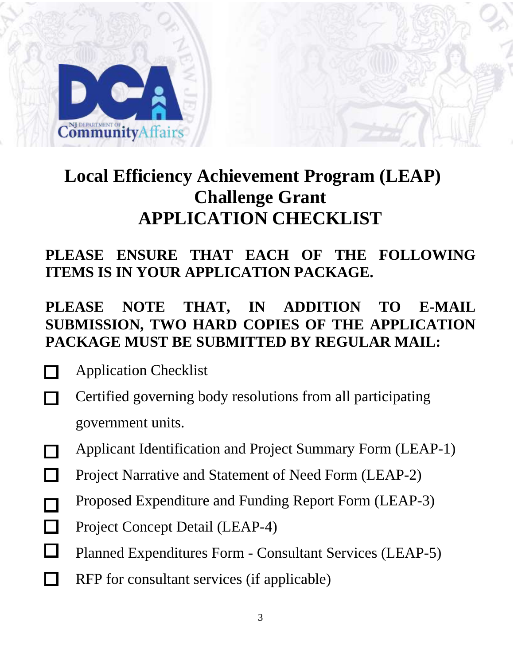

# **Local Efficiency Achievement Program (LEAP) Challenge Grant APPLICATION CHECKLIST**

## **PLEASE ENSURE THAT EACH OF THE FOLLOWING ITEMS IS IN YOUR APPLICATION PACKAGE.**

## **PLEASE NOTE THAT, IN ADDITION TO E-MAIL SUBMISSION, TWO HARD COPIES OF THE APPLICATION PACKAGE MUST BE SUBMITTED BY REGULAR MAIL:**

- Application Checklist
- Certified governing body resolutions from all participating  $\Box$ government units.
- Applicant Identification and Project Summary Form (LEAP-1)
- П Project Narrative and Statement of Need Form (LEAP-2)
- Proposed Expenditure and Funding Report Form (LEAP-3)  $\Box$
- $\Box$ Project Concept Detail (LEAP-4)
- $\Box$ Planned Expenditures Form - Consultant Services (LEAP-5)
- RFP for consultant services (if applicable) $\Box$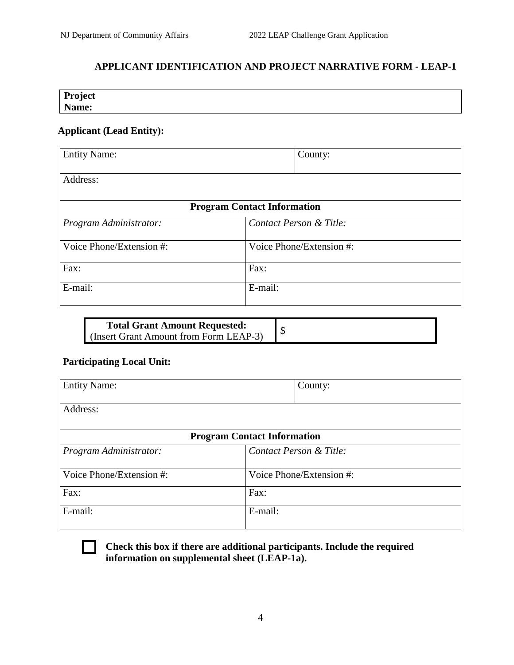## **APPLICANT IDENTIFICATION AND PROJECT NARRATIVE FORM - LEAP-1**

| Project |  |  |
|---------|--|--|
| Name:   |  |  |
|         |  |  |

## **Applicant (Lead Entity):**

| <b>Entity Name:</b>      | County:                            |
|--------------------------|------------------------------------|
| Address:                 |                                    |
|                          | <b>Program Contact Information</b> |
| Program Administrator:   | Contact Person & Title:            |
| Voice Phone/Extension #: | Voice Phone/Extension #:           |
| Fax:                     | Fax:                               |
| E-mail:                  | E-mail:                            |

| <b>Total Grant Amount Requested:</b>   |  |
|----------------------------------------|--|
| (Insert Grant Amount from Form LEAP-3) |  |

## **Participating Local Unit:**

| <b>Entity Name:</b>      | County:                            |
|--------------------------|------------------------------------|
| Address:                 |                                    |
|                          | <b>Program Contact Information</b> |
| Program Administrator:   | Contact Person & Title:            |
| Voice Phone/Extension #: | Voice Phone/Extension #:           |
| Fax:                     | Fax:                               |
| E-mail:                  | E-mail:                            |



**Check this box if there are additional participants. Include the required information on supplemental sheet (LEAP-1a).**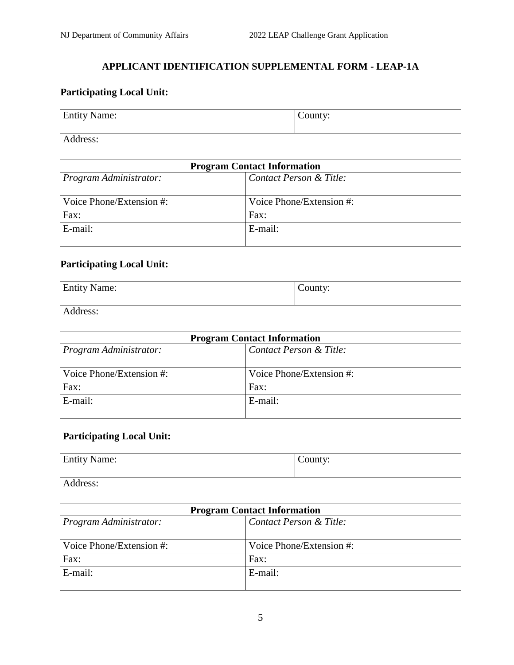## **APPLICANT IDENTIFICATION SUPPLEMENTAL FORM - LEAP-1A**

## **Participating Local Unit:**

| <b>Entity Name:</b>      | County:                            |
|--------------------------|------------------------------------|
|                          |                                    |
| Address:                 |                                    |
|                          |                                    |
|                          | <b>Program Contact Information</b> |
| Program Administrator:   | Contact Person & Title:            |
|                          |                                    |
| Voice Phone/Extension #: | Voice Phone/Extension #:           |
| Fax:                     | Fax:                               |
| E-mail:                  | E-mail:                            |
|                          |                                    |

## **Participating Local Unit:**

| <b>Entity Name:</b>                |         | County:                  |
|------------------------------------|---------|--------------------------|
| Address:                           |         |                          |
|                                    |         |                          |
| <b>Program Contact Information</b> |         |                          |
| Program Administrator:             |         | Contact Person & Title:  |
| Voice Phone/Extension #:           |         | Voice Phone/Extension #: |
| Fax:                               | Fax:    |                          |
| E-mail:                            | E-mail: |                          |

## **Participating Local Unit:**

| <b>Entity Name:</b>                |         | County:                  |
|------------------------------------|---------|--------------------------|
|                                    |         |                          |
| Address:                           |         |                          |
|                                    |         |                          |
| <b>Program Contact Information</b> |         |                          |
| Program Administrator:             |         | Contact Person & Title:  |
|                                    |         |                          |
| Voice Phone/Extension #:           |         | Voice Phone/Extension #: |
| Fax:                               | Fax:    |                          |
| E-mail:                            | E-mail: |                          |
|                                    |         |                          |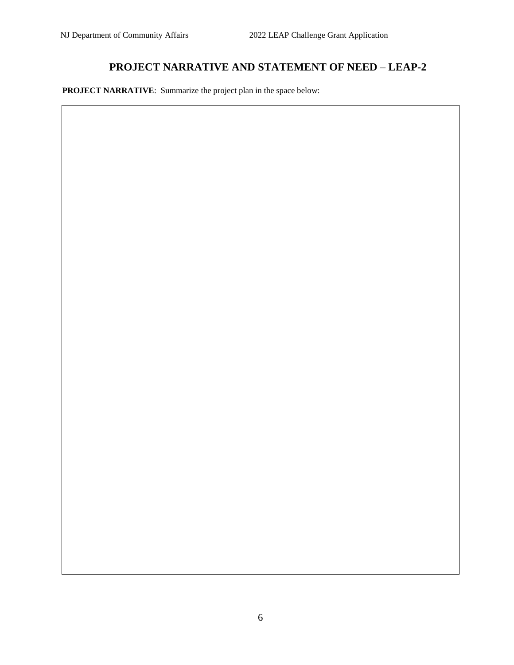## **PROJECT NARRATIVE AND STATEMENT OF NEED – LEAP-2**

 **PROJECT NARRATIVE**: Summarize the project plan in the space below: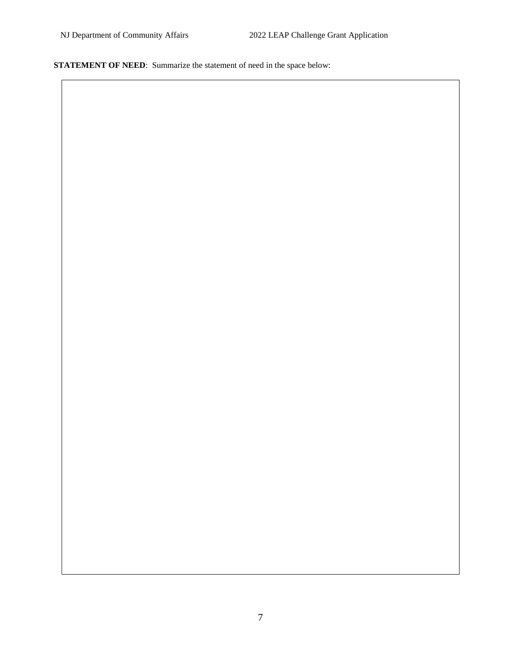**STATEMENT OF NEED:** Summarize the statement of need in the space below: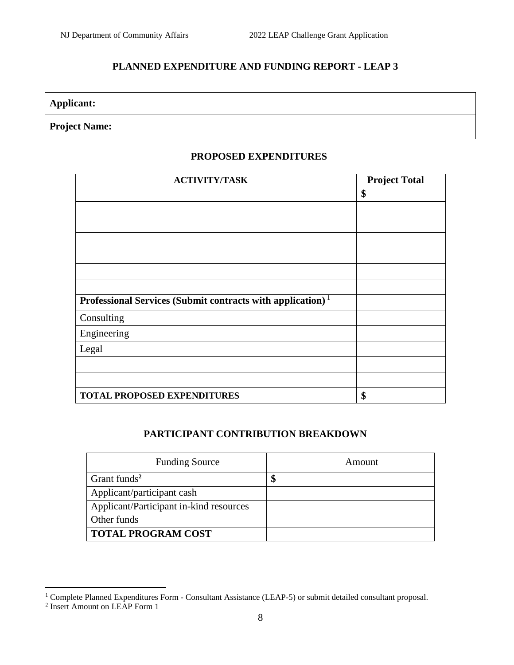## **PLANNED EXPENDITURE AND FUNDING REPORT - LEAP 3**

**Applicant:**

## **Project Name:**

### **PROPOSED EXPENDITURES**

| <b>ACTIVITY/TASK</b>                                                   | <b>Project Total</b> |
|------------------------------------------------------------------------|----------------------|
|                                                                        | \$                   |
|                                                                        |                      |
|                                                                        |                      |
|                                                                        |                      |
|                                                                        |                      |
|                                                                        |                      |
|                                                                        |                      |
| Professional Services (Submit contracts with application) <sup>1</sup> |                      |
| Consulting                                                             |                      |
| Engineering                                                            |                      |
| Legal                                                                  |                      |
|                                                                        |                      |
|                                                                        |                      |
| <b>TOTAL PROPOSED EXPENDITURES</b>                                     | \$                   |

### **PARTICIPANT CONTRIBUTION BREAKDOWN**

| <b>Funding Source</b>                   | Amount |
|-----------------------------------------|--------|
| Grant funds <sup>2</sup>                | J      |
| Applicant/participant cash              |        |
| Applicant/Participant in-kind resources |        |
| Other funds                             |        |
| <b>TOTAL PROGRAM COST</b>               |        |

 $\overline{a}$ 

<sup>&</sup>lt;sup>1</sup> Complete Planned Expenditures Form - Consultant Assistance (LEAP-5) or submit detailed consultant proposal.<br><sup>2</sup> Insert Amount on LEAP Form 1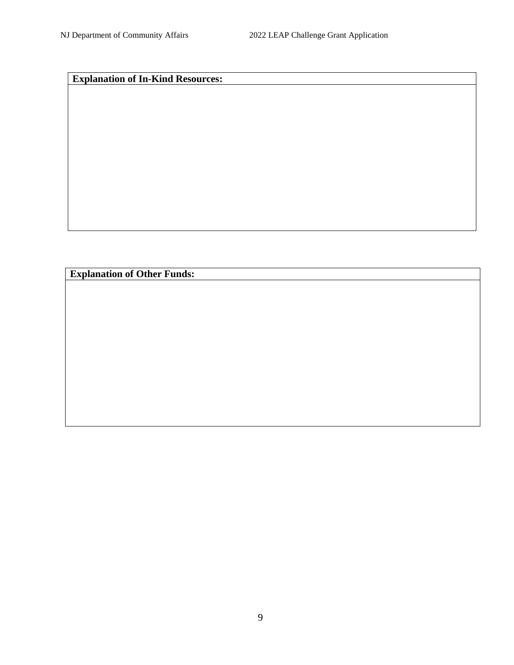**Explanation of In-Kind Resources:**

**Explanation of Other Funds:**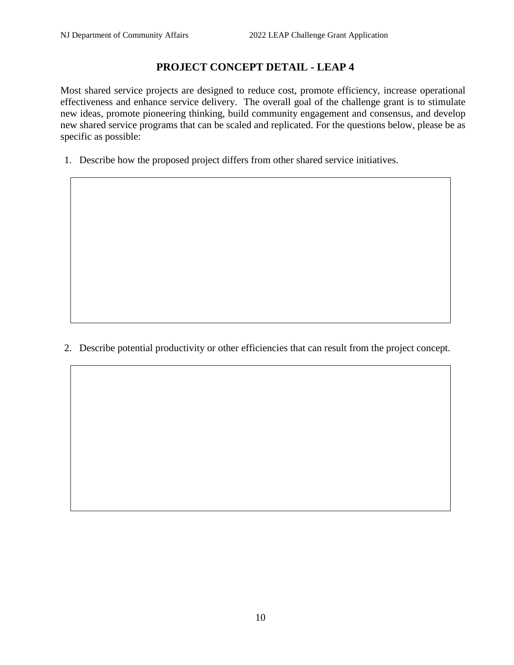## **PROJECT CONCEPT DETAIL - LEAP 4**

Most shared service projects are designed to reduce cost, promote efficiency, increase operational effectiveness and enhance service delivery. The overall goal of the challenge grant is to stimulate new ideas, promote pioneering thinking, build community engagement and consensus, and develop new shared service programs that can be scaled and replicated. For the questions below, please be as specific as possible:

1. Describe how the proposed project differs from other shared service initiatives.

2. Describe potential productivity or other efficiencies that can result from the project concept.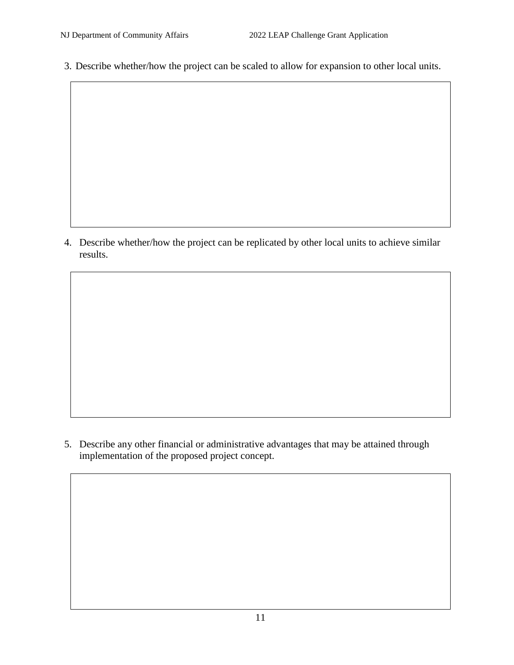3. Describe whether/how the project can be scaled to allow for expansion to other local units.

4. Describe whether/how the project can be replicated by other local units to achieve similar results.

5. Describe any other financial or administrative advantages that may be attained through implementation of the proposed project concept.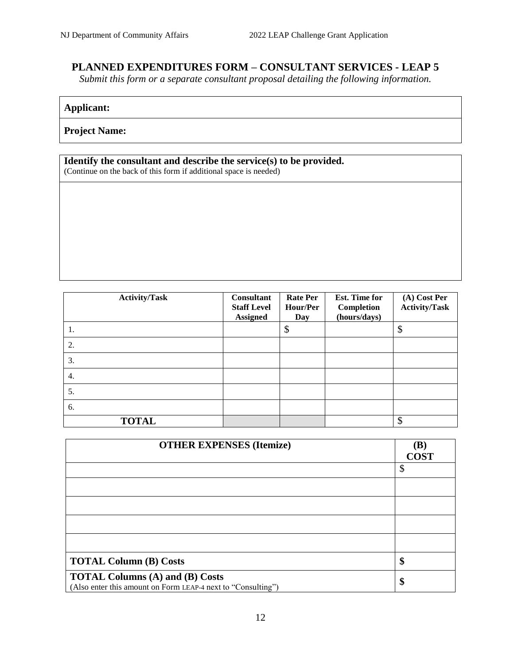## **PLANNED EXPENDITURES FORM – CONSULTANT SERVICES - LEAP 5**

*Submit this form or a separate consultant proposal detailing the following information.*

## **Applicant:**

**Project Name:**

#### **Identify the consultant and describe the service(s) to be provided.**

(Continue on the back of this form if additional space is needed)

| <b>Activity/Task</b> | <b>Consultant</b><br><b>Staff Level</b><br><b>Assigned</b> | <b>Rate Per</b><br>Hour/Per<br>Day | Est. Time for<br>Completion<br>(hours/days) | (A) Cost Per<br><b>Activity/Task</b> |
|----------------------|------------------------------------------------------------|------------------------------------|---------------------------------------------|--------------------------------------|
| 1.                   |                                                            | \$                                 |                                             | \$                                   |
| 2.                   |                                                            |                                    |                                             |                                      |
| 3.                   |                                                            |                                    |                                             |                                      |
| 4.                   |                                                            |                                    |                                             |                                      |
| 5.                   |                                                            |                                    |                                             |                                      |
| 6.                   |                                                            |                                    |                                             |                                      |
| <b>TOTAL</b>         |                                                            |                                    |                                             | \$                                   |

| <b>OTHER EXPENSES (Itemize)</b>                                                                        | (B)         |
|--------------------------------------------------------------------------------------------------------|-------------|
|                                                                                                        | <b>COST</b> |
|                                                                                                        | \$          |
|                                                                                                        |             |
|                                                                                                        |             |
|                                                                                                        |             |
|                                                                                                        |             |
| <b>TOTAL Column (B) Costs</b>                                                                          | \$          |
| <b>TOTAL Columns (A) and (B) Costs</b><br>(Also enter this amount on Form LEAP-4 next to "Consulting") | \$          |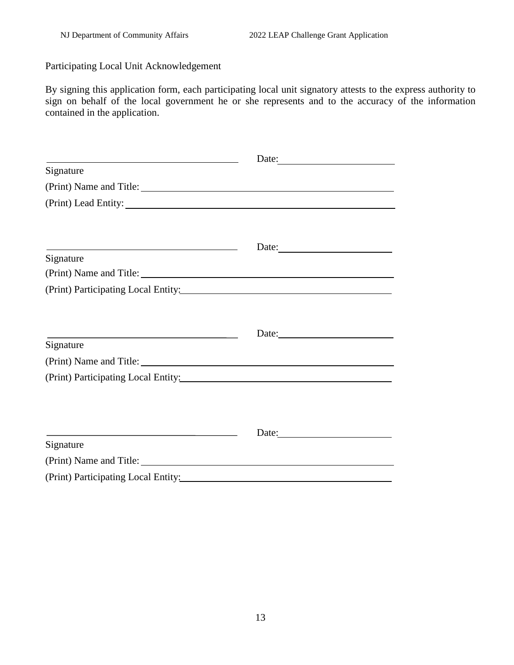Participating Local Unit Acknowledgement

By signing this application form, each participating local unit signatory attests to the express authority to sign on behalf of the local government he or she represents and to the accuracy of the information contained in the application.

| <u> 1989 - Johann Stein, mars an deus Amerikaansk kommunister (</u>                                                                | Date: |  |
|------------------------------------------------------------------------------------------------------------------------------------|-------|--|
| Signature                                                                                                                          |       |  |
|                                                                                                                                    |       |  |
|                                                                                                                                    |       |  |
|                                                                                                                                    |       |  |
| <u> 1989 - Johann Barn, fransk politik (f. 1989)</u>                                                                               | Date: |  |
| Signature                                                                                                                          |       |  |
|                                                                                                                                    |       |  |
| (Print) Participating Local Entity:                                                                                                |       |  |
|                                                                                                                                    |       |  |
|                                                                                                                                    |       |  |
| <u> 1989 - Johann Barn, mars ann an t-Amhair ann an t-Amhair an t-Amhair an t-Amhair an t-Amhair ann an t-Amhair </u><br>Signature | Date: |  |
|                                                                                                                                    |       |  |
|                                                                                                                                    |       |  |
|                                                                                                                                    |       |  |
|                                                                                                                                    |       |  |
|                                                                                                                                    |       |  |
| the contract of the contract of the contract of the contract of the contract of<br>Signature                                       | Date: |  |
|                                                                                                                                    |       |  |
| (Print) Name and Title:                                                                                                            |       |  |
| (Print) Participating Local Entity:                                                                                                |       |  |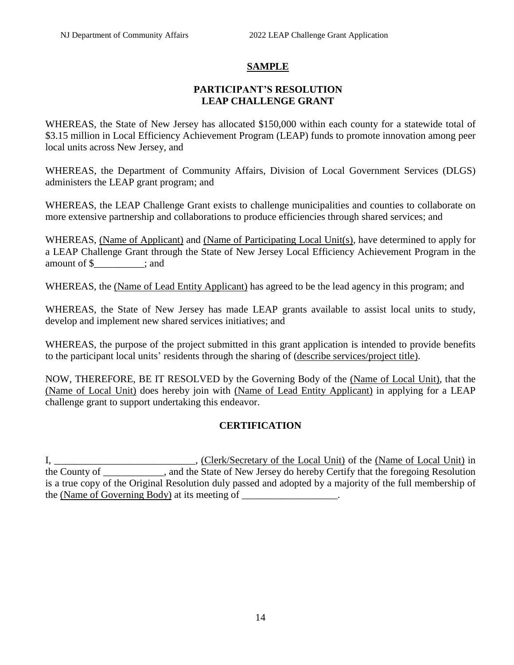## **SAMPLE**

### **PARTICIPANT'S RESOLUTION LEAP CHALLENGE GRANT**

WHEREAS, the State of New Jersey has allocated \$150,000 within each county for a statewide total of \$3.15 million in Local Efficiency Achievement Program (LEAP) funds to promote innovation among peer local units across New Jersey, and

WHEREAS, the Department of Community Affairs, Division of Local Government Services (DLGS) administers the LEAP grant program; and

WHEREAS, the LEAP Challenge Grant exists to challenge municipalities and counties to collaborate on more extensive partnership and collaborations to produce efficiencies through shared services; and

WHEREAS, (Name of Applicant) and (Name of Participating Local Unit(s), have determined to apply for a LEAP Challenge Grant through the State of New Jersey Local Efficiency Achievement Program in the amount of \$  $\qquad \qquad$  : and

WHEREAS, the (Name of Lead Entity Applicant) has agreed to be the lead agency in this program; and

WHEREAS, the State of New Jersey has made LEAP grants available to assist local units to study, develop and implement new shared services initiatives; and

WHEREAS, the purpose of the project submitted in this grant application is intended to provide benefits to the participant local units' residents through the sharing of (describe services/project title).

NOW, THEREFORE, BE IT RESOLVED by the Governing Body of the (Name of Local Unit), that the (Name of Local Unit) does hereby join with (Name of Lead Entity Applicant) in applying for a LEAP challenge grant to support undertaking this endeavor.

## **CERTIFICATION**

I, \_\_\_\_\_\_\_\_\_\_\_\_\_\_\_\_\_\_\_\_\_\_\_\_\_\_\_, (Clerk/Secretary of the Local Unit) of the (Name of Local Unit) in the County of \_\_\_\_\_\_\_\_\_\_\_\_, and the State of New Jersey do hereby Certify that the foregoing Resolution is a true copy of the Original Resolution duly passed and adopted by a majority of the full membership of the (Name of Governing Body) at its meeting of